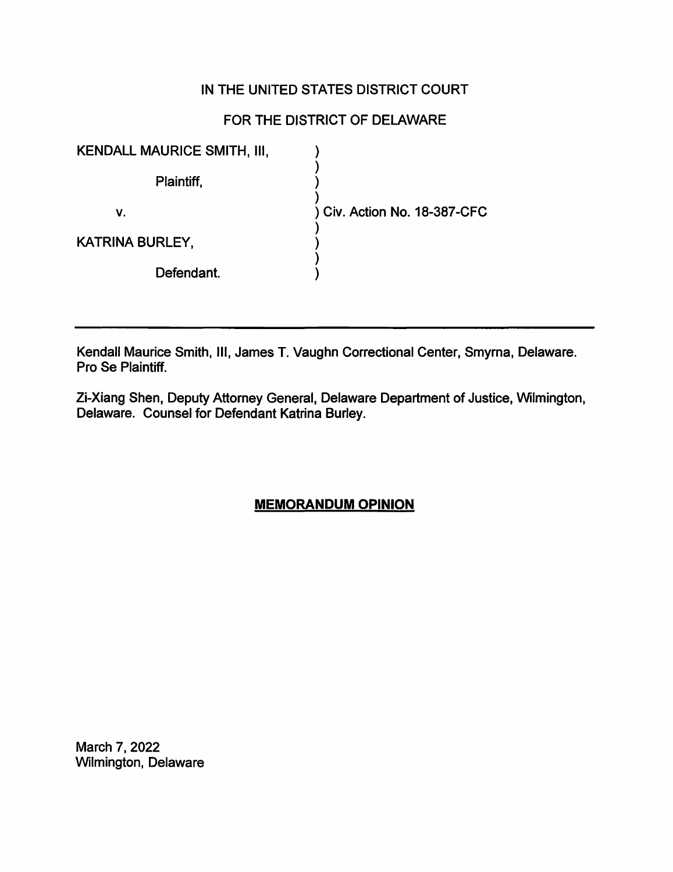# IN THE UNITED STATES DISTRICT COURT

# FOR THE DISTRICT OF DELAWARE

| <b>KENDALL MAURICE SMITH, III,</b> |                            |
|------------------------------------|----------------------------|
| Plaintiff,                         |                            |
| v.                                 | Civ. Action No. 18-387-CFC |
| <b>KATRINA BURLEY,</b>             |                            |
| Defendant.                         |                            |

Kendall Maurice Smith, Ill, James T. Vaughn Correctional Center, Smyrna, Delaware. Pro Se Plaintiff.

Zi-Xiang Shen, Deputy Attorney General, Delaware Department of Justice, Wilmington, Delaware. Counsel for Defendant Katrina Burley.

## **MEMORANDUM OPINION**

March 7, 2022 Wilmington, Delaware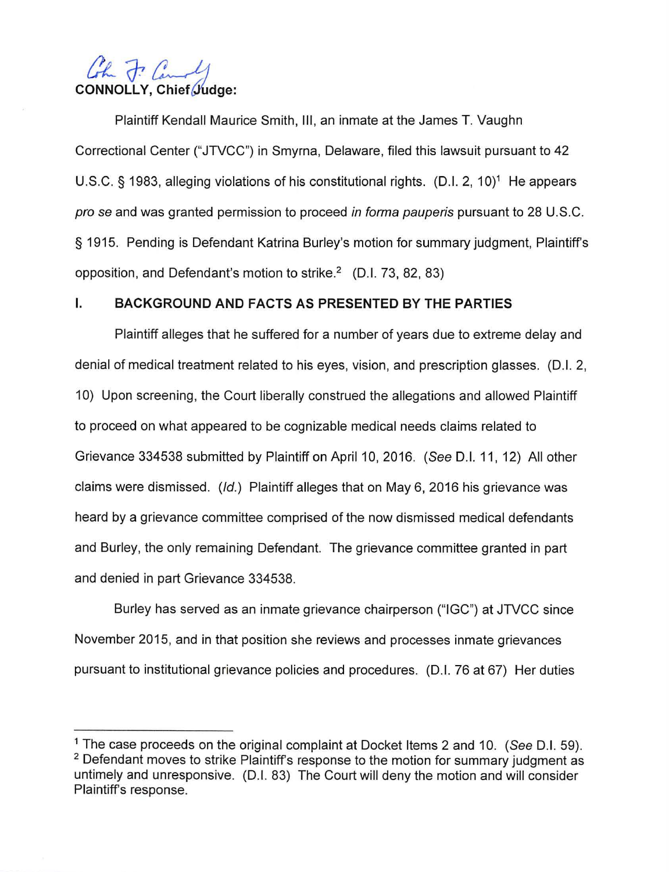# Cohn 7. Canal CONNOLLY, Chief Judge:

Plaintiff Kendall Maurice Smith, Ill, an inmate at the James T. Vaughn Correctional Center ("JTVCC") in Smyrna, Delaware, filed this lawsuit pursuant to 42 U.S.C. § 1983, alleging violations of his constitutional rights.  $(D.I. 2, 10)^1$  He appears pro se and was granted permission to proceed in forma pauperis pursuant to 28 U.S.C. § 1915. Pending is Defendant Katrina Burley's motion for summary judgment, Plaintiff's opposition, and Defendant's motion to strike.<sup>2</sup> (D.I. 73, 82, 83)

## I. **BACKGROUND AND FACTS AS PRESENTED BY THE PARTIES**

Plaintiff alleges that he suffered for a number of years due to extreme delay and denial of medical treatment related to his eyes, vision, and prescription glasses. (D.I. 2, 10) Upon screening, the Court liberally construed the allegations and allowed Plaintiff to proceed on what appeared to be cognizable medical needs claims related to Grievance 334538 submitted by Plaintiff on April 10, 2016. (See D.I. 11, 12) All other claims were dismissed. (/d.) Plaintiff alleges that on May 6, 2016 his grievance was heard by a grievance committee comprised of the now dismissed medical defendants and Burley, the only remaining Defendant. The grievance committee granted in part and denied in part Grievance 334538.

Burley has served as an inmate grievance chairperson ("IGC") at JTVCC since November 2015, and in that position she reviews and processes inmate grievances pursuant to institutional grievance policies and procedures. (D.I. 76 at 67) Her duties

<sup>&</sup>lt;sup>1</sup> The case proceeds on the original complaint at Docket Items 2 and 10. (See D.I. 59). <sup>2</sup> Defendant moves to strike Plaintiff's response to the motion for summary judgment as untimely and unresponsive. (D.I. 83) The Court will deny the motion and will consider Plaintiff's response.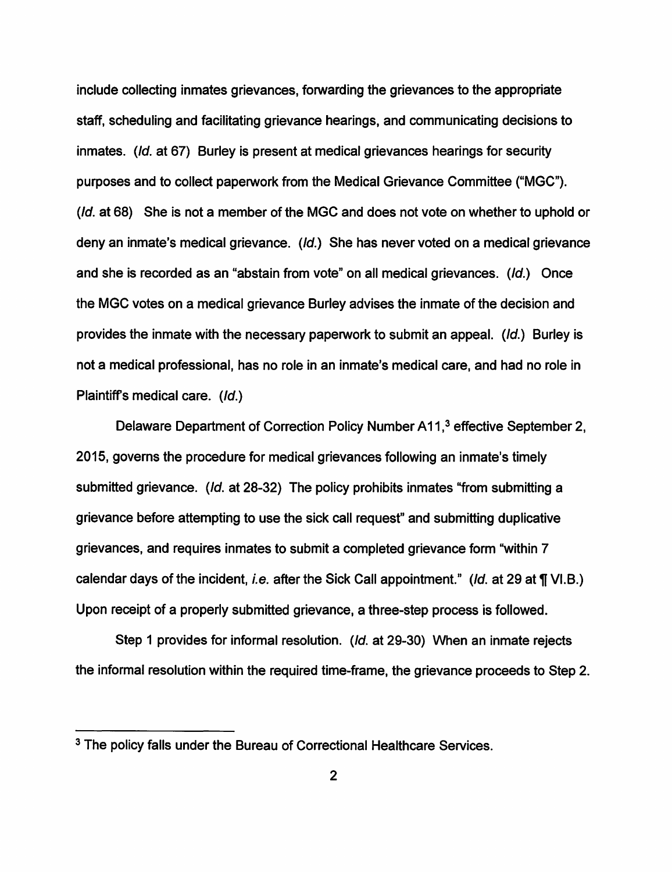include collecting inmates grievances, forwarding the grievances to the appropriate staff, scheduling and facilitating grievance hearings, and communicating decisions to inmates. (Id. at 67) Burley is present at medical grievances hearings for security purposes and to collect paperwork from the Medical Grievance Committee ("MGC"). (Id. at 68) She is not a member of the MGC and does not vote on whether to uphold or deny an inmate's medical grievance. (Id.) She has never voted on a medical grievance and she is recorded as an "abstain from vote" on all medical grievances. (Id.) Once the MGC votes on a medical grievance Burley advises the inmate of the decision and provides the inmate with the necessary paperwork to submit an appeal. (Id.) Burley is not a medical professional, has no role in an inmate's medical care, and had no role in Plaintiff's medical care. (Id.)

Delaware Department of Correction Policy Number A11,<sup>3</sup> effective September 2, 2015, governs the procedure for medical grievances following an inmate's timely submitted grievance. (Id. at 28-32) The policy prohibits inmates "from submitting a grievance before attempting to use the sick call request" and submitting duplicative grievances, and requires inmates to submit a completed grievance form "within 7 calendar days of the incident, *i.e.* after the Sick Call appointment." (*Id.* at 29 at ¶ VI.B.) Upon receipt of a properly submitted grievance, a three-step process is followed.

Step 1 provides for informal resolution. (Id. at 29-30) When an inmate rejects the informal resolution within the required time-frame, the grievance proceeds to Step 2.

<sup>&</sup>lt;sup>3</sup> The policy falls under the Bureau of Correctional Healthcare Services.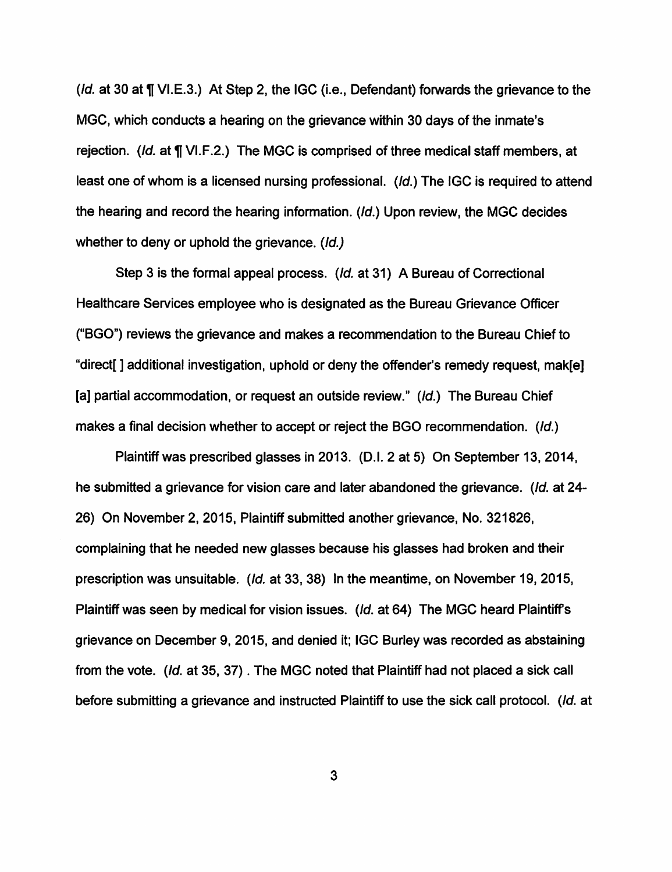( $Id.$  at 30 at  $\P$  VI.E.3.) At Step 2, the IGC (i.e., Defendant) forwards the grievance to the MGC, which conducts a hearing on the grievance within 30 days of the inmate's rejection. (Id. at ¶ VI.F.2.) The MGC is comprised of three medical staff members, at least one of whom is a licensed nursing professional. (Id.) The IGC is required to attend the hearing and record the hearing information. (Id.) Upon review, the MGC decides whether to deny or uphold the grievance. (Id.)

Step 3 is the formal appeal process. (Id. at 31) A Bureau of Correctional Healthcare Services employee who is designated as the Bureau Grievance Officer ("BGO") reviews the grievance and makes a recommendation to the Bureau Chief to "direct[ ] additional investigation, uphold or deny the offender's remedy request, mak[e] [a] partial accommodation, or request an outside review." (Id.) The Bureau Chief makes a final decision whether to accept or reject the BGO recommendation. (Id.)

Plaintiff was prescribed glasses in 2013. (D.I. 2 at 5) On September 13, 2014, he submitted a grievance for vision care and later abandoned the grievance. (Id. at 24- 26) On November 2, 2015, Plaintiff submitted another grievance, No. 321826, complaining that he needed new glasses because his glasses had broken and their prescription was unsuitable. (Id. at 33, 38) In the meantime, on November 19, 2015, Plaintiff was seen by medical for vision issues. (Id. at 64) The MGC heard Plaintiffs grievance on December 9, 2015, and denied it; IGC Burley was recorded as abstaining from the vote. (Id. at 35, 37) . The MGC noted that Plaintiff had not placed a sick call before submitting a grievance and instructed Plaintiff to use the sick call protocol. (Id. at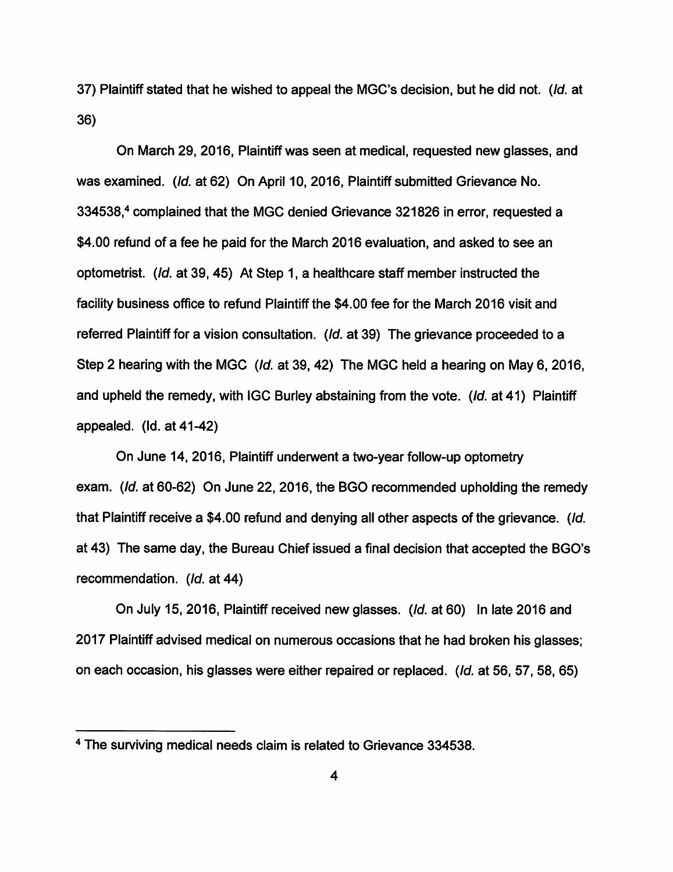37) Plaintiff stated that he wished to appeal the MGC's decision, but he did not. (Id. at 36)

On March 29, 2016, Plaintiff was seen at medical, requested new glasses, and was examined. (Id. at 62) On April 10, 2016, Plaintiff submitted Grievance No. 334538,4 complained that the MGC denied Grievance 321826 in error, requested a \$4.00 refund of a fee he paid for the March 2016 evaluation, and asked to see an optometrist. (Id. at 39, 45) At Step 1, a healthcare staff member instructed the facility business office to refund Plaintiff the \$4.00 fee for the March 2016 visit and referred Plaintiff for a vision consultation. (Id. at 39) The grievance proceeded to a Step 2 hearing with the MGC (Id. at 39, 42) The MGC held a hearing on May 6, 2016, and upheld the remedy, with IGC Burley abstaining from the vote. (Id. at 41) Plaintiff appealed. (Id. at 41-42)

On June 14, 2016, Plaintiff underwent a two-year follow-up optometry exam. (Id. at 60-62) On June 22, 2016, the BGO recommended upholding the remedy that Plaintiff receive a \$4.00 refund and denying all other aspects of the grievance. (Id. at 43) The same day, the Bureau Chief issued a final decision that accepted the BGO's recommendation. (Id. at 44)

On July 15, 2016, Plaintiff received new glasses. (Id. at 60) In late 2016 and 2017 Plaintiff advised medical on numerous occasions that he had broken his glasses; on each occasion, his glasses were either repaired or replaced. (Id. at 56, 57, 58, 65)

<sup>4</sup> The surviving medical needs claim is related to Grievance 334538.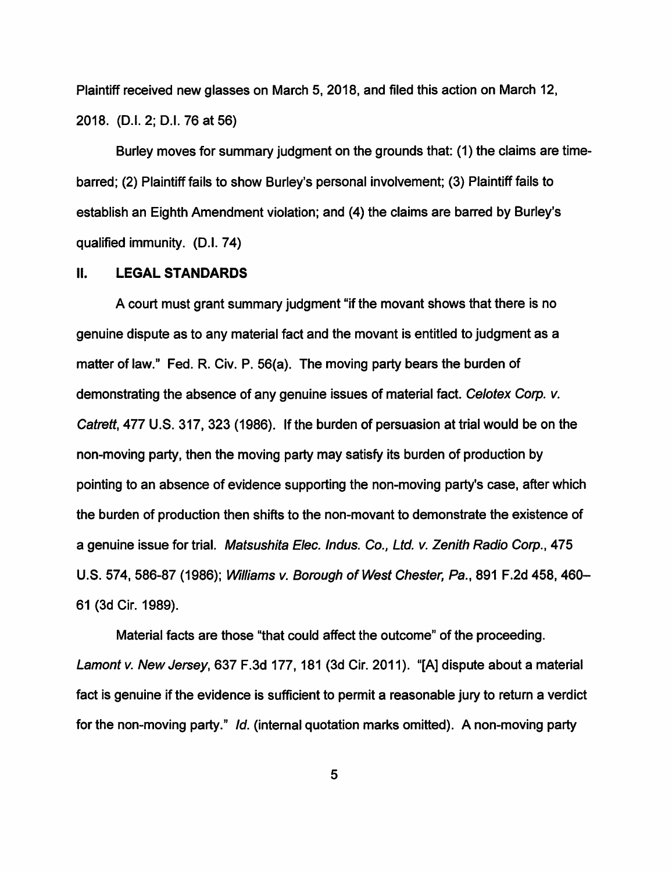Plaintiff received new glasses on March 5, 2018, and filed this action on March 12, 2018. (D.I. 2; D.I. 76 at 56)

Burley moves for summary judgment on the grounds that: (1) the claims are timebarred; (2) Plaintiff fails to show Burley's personal involvement; (3) Plaintiff fails to establish an Eighth Amendment violation; and (4) the claims are barred by Burley's qualified immunity. (D.I. 74)

### II. **LEGAL STANDARDS**

A court must grant summary judgment "if the movant shows that there is no genuine dispute as to any material fact and the movant is entitled to judgment as a matter of law." Fed. R. Civ. P. 56(a). The moving party bears the burden of demonstrating the absence of any genuine issues of material fact. Celotex Corp. v. Catrett, 477 U.S. 317, 323 (1986). If the burden of persuasion at trial would be on the non-moving party, then the moving party may satisfy its burden of production by pointing to an absence of evidence supporting the non-moving party's case, after which the burden of production then shifts to the non-movant to demonstrate the existence of a genuine issue for trial. Matsushita Elec. Indus. Co., Ltd. *v.* Zenith Radio Corp., 475 U.S. 574, 586-87 (1986); Williams *v.* Borough of West Chester, Pa., 891 F.2d 458, 460- 61 (3d Cir. 1989).

Material facts are those "that could affect the outcome" of the proceeding. Lamont *v.* New Jersey, 637 F.3d 177, 181 (3d Cir. 2011). "[A] dispute about a material fact is genuine if the evidence is sufficient to permit a reasonable jury to return a verdict for the non-moving party." Id. (internal quotation marks omitted). A non-moving party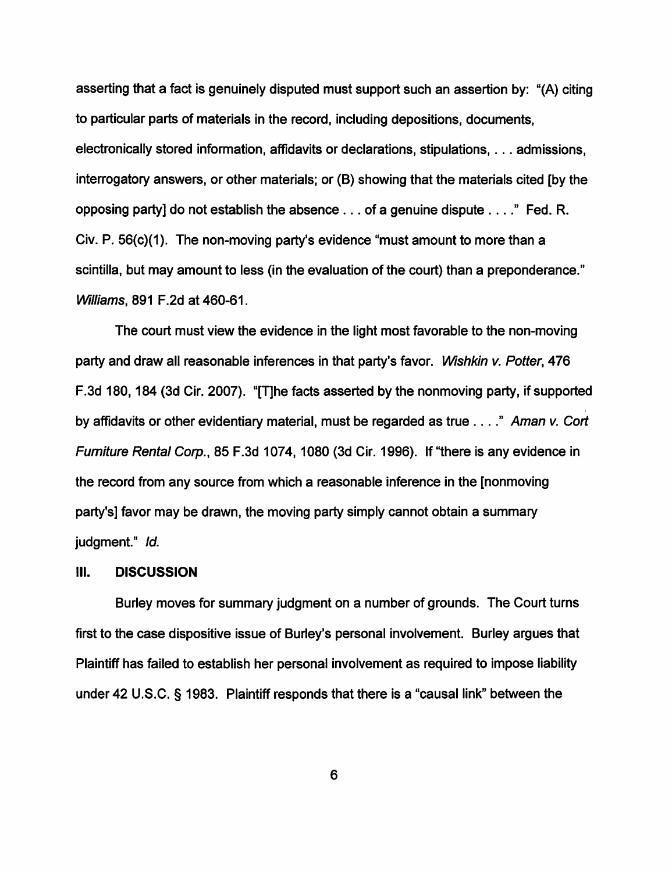asserting that a fact is genuinely disputed must support such an assertion by: "(A) citing to particular parts of materials in the record, including depositions, documents, electronically stored information, affidavits or declarations, stipulations, ... admissions, interrogatory answers, or other materials; or (B) showing that the materials cited [by the opposing party] do not establish the absence ... of a genuine dispute .... " Fed. R. Civ. P. 56(c)(1). The non-moving party's evidence "must amount to more than a scintilla, but may amount to less (in the evaluation of the court) than a preponderance." Williams, 891 F.2d at 460-61.

The court must view the evidence in the light most favorable to the non-moving party and draw all reasonable inferences in that party's favor. Wishkin v. Potter, 476 F.3d 180, 184 (3d Cir. 2007). "[T]he facts asserted by the nonmoving party, if supported I by affidavits or other evidentiary material, must be regarded as true .... " Aman *v.* Cort Furniture Rental Corp., 85 F.3d 1074, 1080 (3d Cir. 1996). If "there is any evidence in the record from any source from which a reasonable inference in the [nonmoving party's] favor may be drawn, the moving party simply cannot obtain a summary judgment." Id.

#### Ill. **DISCUSSION**

Burley moves for summary judgment on a number of grounds. The Court turns first to the case dispositive issue of Burley's personal involvement. Burley argues that Plaintiff has failed to establish her personal involvement as required to impose liability under 42 U.S.C. § 1983. Plaintiff responds that there is a "causal link" between the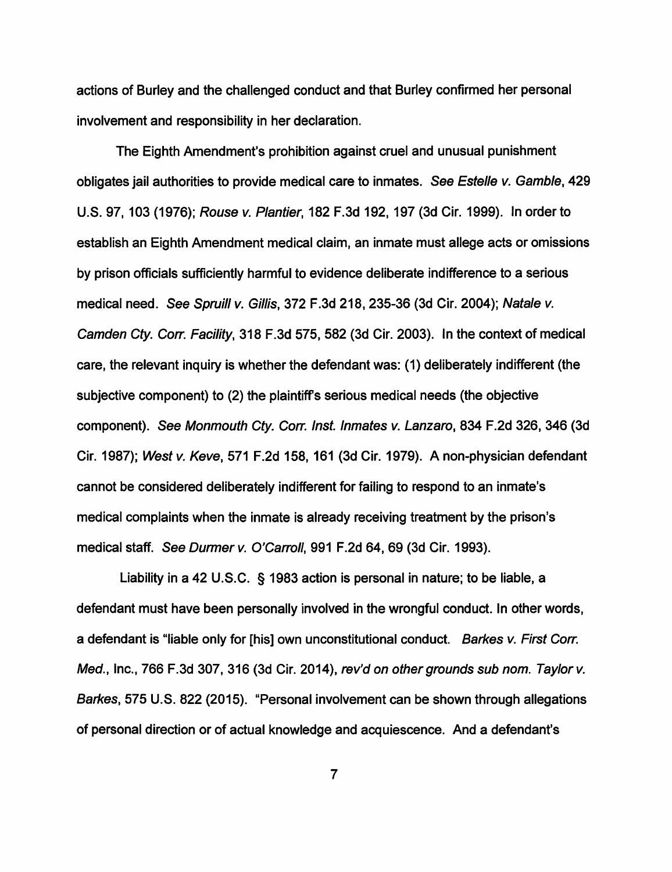actions of Burley and the challenged conduct and that Burley confirmed her personal involvement and responsibility in her declaration.

The Eighth Amendment's prohibition against cruel and unusual punishment obligates jail authorities to provide medical care to inmates. See Estelle v. Gamble, 429 U.S. 97, 103 (1976); Rouse v. Plantier, 182 F.3d 192, 197 (3d Cir. 1999). In order to establish an Eighth Amendment medical claim, an inmate must allege acts or omissions by prison officials sufficiently harmful to evidence deliberate indifference to a serious medical need. See Spruill v. Gillis, 372 F.3d 218, 235-36 (3d Cir. 2004); Natale v. Camden Cty. Corr. Facility, 318 F.3d 575, 582 (3d Cir. 2003). In the context of medical care, the relevant inquiry is whether the defendant was: (1) deliberately indifferent (the subjective component) to (2) the plaintiff's serious medical needs (the objective component). See Monmouth Cty. Corr. Inst. Inmates v. Lanzaro, 834 F.2d 326, 346 (3d Cir. 1987); West v. Keve, 571 F.2d 158, 161 (3d Cir. 1979). A non-physician defendant cannot be considered deliberately indifferent for failing to respond to an inmate's medical complaints when the inmate is already receiving treatment by the prison's medical staff. See Durmer v. O'Carroll, 991 F.2d 64, 69 (3d Cir. 1993).

Liability in a 42 U.S.C. § 1983 action is personal in nature; to be liable, a defendant must have been personally involved in the wrongful conduct. In other words, a defendant is "liable only for [his] own unconstitutional conduct. Barkes v. First Corr. Med., Inc., 766 F.3d 307, 316 (3d Cir. 2014), rev'd on other grounds sub nom. Taylor v. Barkes, 575 U.S. 822 (2015). "Personal involvement can be shown through allegations of personal direction or of actual knowledge and acquiescence. And a defendant's